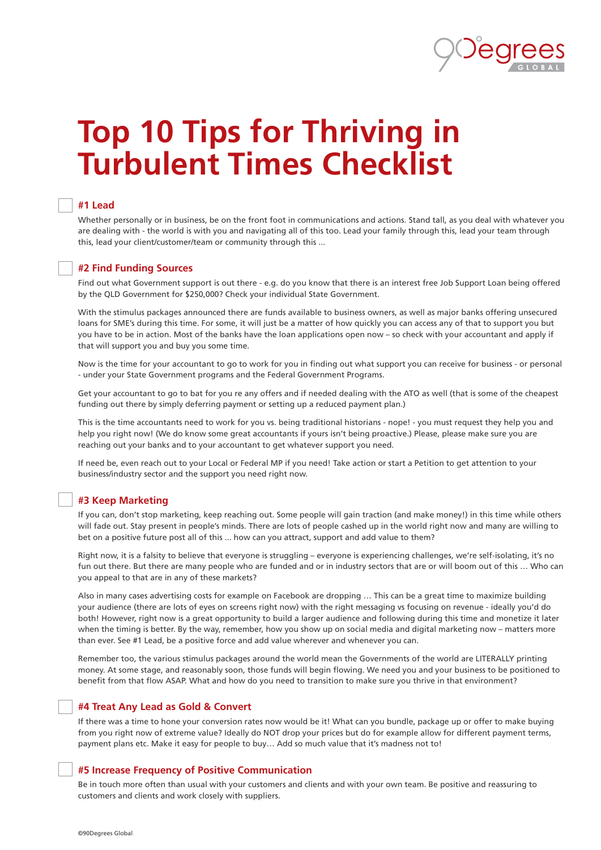

# **Top 10 Tips for Thriving in Turbulent Times Checklist**

# **#1 Lead**

Whether personally or in business, be on the front foot in communications and actions. Stand tall, as you deal with whatever you are dealing with - the world is with you and navigating all of this too. Lead your family through this, lead your team through this, lead your client/customer/team or community through this ...

# **#2 Find Funding Sources**

Find out what Government support is out there - e.g. do you know that there is an interest free Job Support Loan being offered by the QLD Government for \$250,000? Check your individual State Government.

With the stimulus packages announced there are funds available to business owners, as well as major banks offering unsecured loans for SME's during this time. For some, it will just be a matter of how quickly you can access any of that to support you but you have to be in action. Most of the banks have the loan applications open now – so check with your accountant and apply if that will support you and buy you some time.

Now is the time for your accountant to go to work for you in finding out what support you can receive for business - or personal - under your State Government programs and the Federal Government Programs.

Get your accountant to go to bat for you re any offers and if needed dealing with the ATO as well (that is some of the cheapest funding out there by simply deferring payment or setting up a reduced payment plan.)

This is the time accountants need to work for you vs. being traditional historians - nope! - you must request they help you and help you right now! (We do know some great accountants if yours isn't being proactive.) Please, please make sure you are reaching out your banks and to your accountant to get whatever support you need.

If need be, even reach out to your Local or Federal MP if you need! Take action or start a Petition to get attention to your business/industry sector and the support you need right now.

# **#3 Keep Marketing**

If you can, don't stop marketing, keep reaching out. Some people will gain traction (and make money!) in this time while others will fade out. Stay present in people's minds. There are lots of people cashed up in the world right now and many are willing to bet on a positive future post all of this ... how can you attract, support and add value to them?

Right now, it is a falsity to believe that everyone is struggling – everyone is experiencing challenges, we're self-isolating, it's no fun out there. But there are many people who are funded and or in industry sectors that are or will boom out of this … Who can you appeal to that are in any of these markets?

Also in many cases advertising costs for example on Facebook are dropping … This can be a great time to maximize building your audience (there are lots of eyes on screens right now) with the right messaging vs focusing on revenue - ideally you'd do both! However, right now is a great opportunity to build a larger audience and following during this time and monetize it later when the timing is better. By the way, remember, how you show up on social media and digital marketing now – matters more than ever. See #1 Lead, be a positive force and add value wherever and whenever you can.

Remember too, the various stimulus packages around the world mean the Governments of the world are LITERALLY printing money. At some stage, and reasonably soon, those funds will begin flowing. We need you and your business to be positioned to benefit from that flow ASAP. What and how do you need to transition to make sure you thrive in that environment?

# **#4 Treat Any Lead as Gold & Convert**

If there was a time to hone your conversion rates now would be it! What can you bundle, package up or offer to make buying from you right now of extreme value? Ideally do NOT drop your prices but do for example allow for different payment terms, payment plans etc. Make it easy for people to buy... Add so much value that it's madness not to!

# **#5 Increase Frequency of Positive Communication**

Be in touch more often than usual with your customers and clients and with your own team. Be positive and reassuring to customers and clients and work closely with suppliers.